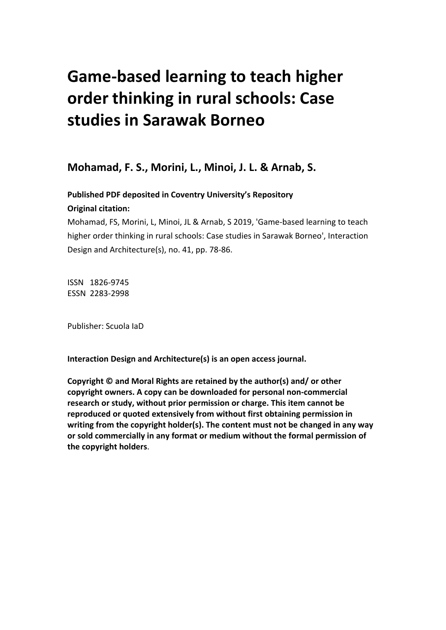# **Game-based learning to teach higher order thinking in rural schools: Case studies in Sarawak Borneo**

**Mohamad, F. S., Morini, L., Minoi, J. L. & Arnab, S.**

**Published PDF deposited in Coventry University's Repository** 

## **Original citation:**

Mohamad, FS, Morini, L, Minoi, JL & Arnab, S 2019, 'Game-based learning to teach higher order thinking in rural schools: Case studies in Sarawak Borneo', Interaction Design and Architecture(s), no. 41, pp. 78-86.

ISSN 1826-9745 ESSN 2283-2998

Publisher: Scuola IaD

**Interaction Design and Architecture(s) is an open access journal.**

**Copyright © and Moral Rights are retained by the author(s) and/ or other copyright owners. A copy can be downloaded for personal non-commercial research or study, without prior permission or charge. This item cannot be reproduced or quoted extensively from without first obtaining permission in writing from the copyright holder(s). The content must not be changed in any way or sold commercially in any format or medium without the formal permission of the copyright holders**.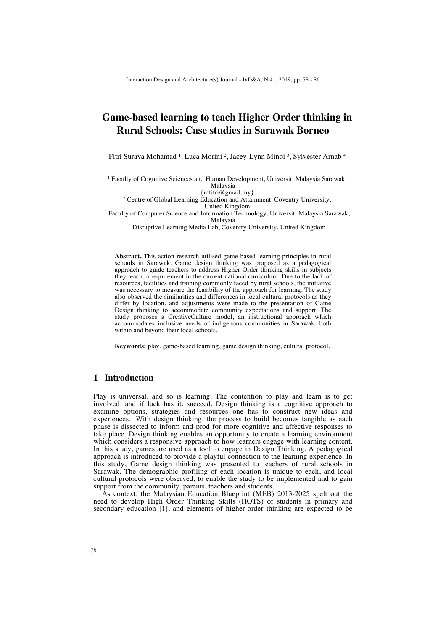## **Game-based learning to teach Higher Order thinking in Rural Schools: Case studies in Sarawak Borneo**

Fitri Suraya Mohamad <sup>1</sup> , Luca Morini <sup>2</sup> , Jacey-Lynn Minoi <sup>3</sup> , Sylvester Arnab <sup>4</sup>

<sup>1</sup> Faculty of Cognitive Sciences and Human Development, Universiti Malaysia Sarawak, Malaysia

{mfitri@gmail.my}

<sup>2</sup> Centre of Global Learning Education and Attainment, Coventry University,

United Kingdom

<sup>3</sup> Faculty of Computer Science and Information Technology, Universiti Malaysia Sarawak, Malaysia

<sup>4</sup> Disruptive Learning Media Lab, Coventry University, United Kingdom

**Abstract.** This action research utilised game-based learning principles in rural schools in Sarawak. Game design thinking was proposed as a pedagogical approach to guide teachers to address Higher Order thinking skills in subjects they teach, a requirement in the current national curriculum. Due to the lack of resources, facilities and training commonly faced by rural schools, the initiative was necessary to measure the feasibility of the approach for learning. The study also observed the similarities and differences in local cultural protocols as they differ by location, and adjustments were made to the presentation of Game Design thinking to accommodate community expectations and support. The study proposes a CreativeCulture model, an instructional approach which accommodates inclusive needs of indigenous communities in Sarawak, both within and beyond their local schools.

**Keywords:** play, game-based learning, game design thinking, cultural protocol.

#### **1 Introduction**

Play is universal, and so is learning. The contention to play and learn is to get involved, and if luck has it, succeed. Design thinking is a cognitive approach to examine options, strategies and resources one has to construct new ideas and experiences. With design thinking, the process to build becomes tangible as each phase is dissected to inform and prod for more cognitive and affective responses to take place. Design thinking enables an opportunity to create a learning environment which considers a responsive approach to how learners engage with learning content. In this study, games are used as a tool to engage in Design Thinking. A pedagogical approach is introduced to provide a playful connection to the learning experience. In this study, Game design thinking was presented to teachers of rural schools in Sarawak. The demographic profiling of each location is unique to each, and local cultural protocols were observed, to enable the study to be implemented and to gain support from the community, parents, teachers and students.

As context, the Malaysian Education Blueprint (MEB) 2013-2025 spelt out the need to develop High Order Thinking Skills (HOTS) of students in primary and secondary education [1], and elements of higher-order thinking are expected to be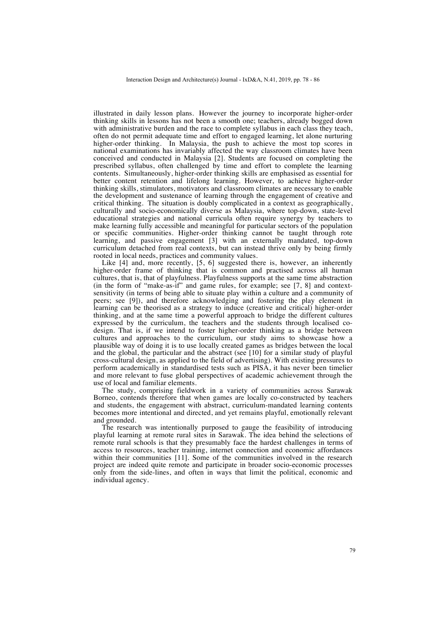illustrated in daily lesson plans. However the journey to incorporate higher-order thinking skills in lessons has not been a smooth one; teachers, already bogged down with administrative burden and the race to complete syllabus in each class they teach, often do not permit adequate time and effort to engaged learning, let alone nurturing higher-order thinking. In Malaysia, the push to achieve the most top scores in national examinations has invariably affected the way classroom climates have been conceived and conducted in Malaysia [2]. Students are focused on completing the prescribed syllabus, often challenged by time and effort to complete the learning contents. Simultaneously, higher-order thinking skills are emphasised as essential for better content retention and lifelong learning. However, to achieve higher-order thinking skills, stimulators, motivators and classroom climates are necessary to enable the development and sustenance of learning through the engagement of creative and critical thinking. The situation is doubly complicated in a context as geographically, culturally and socio-economically diverse as Malaysia, where top-down, state-level educational strategies and national curricula often require synergy by teachers to make learning fully accessible and meaningful for particular sectors of the population or specific communities. Higher-order thinking cannot be taught through rote learning, and passive engagement [3] with an externally mandated, top-down curriculum detached from real contexts, but can instead thrive only by being firmly rooted in local needs, practices and community values.

Like [4] and, more recently, [5, 6] suggested there is, however, an inherently higher-order frame of thinking that is common and practised across all human cultures, that is, that of playfulness. Playfulness supports at the same time abstraction (in the form of "make-as-if" and game rules, for example; see [7, 8] and contextsensitivity (in terms of being able to situate play within a culture and a community of peers; see [9]), and therefore acknowledging and fostering the play element in learning can be theorised as a strategy to induce (creative and critical) higher-order thinking, and at the same time a powerful approach to bridge the different cultures expressed by the curriculum, the teachers and the students through localised codesign. That is, if we intend to foster higher-order thinking as a bridge between cultures and approaches to the curriculum, our study aims to showcase how a plausible way of doing it is to use locally created games as bridges between the local and the global, the particular and the abstract (see [10] for a similar study of playful cross-cultural design, as applied to the field of advertising). With existing pressures to perform academically in standardised tests such as PISA, it has never been timelier and more relevant to fuse global perspectives of academic achievement through the use of local and familiar elements.

The study, comprising fieldwork in a variety of communities across Sarawak Borneo, contends therefore that when games are locally co-constructed by teachers and students, the engagement with abstract, curriculum-mandated learning contents becomes more intentional and directed, and yet remains playful, emotionally relevant and grounded.

The research was intentionally purposed to gauge the feasibility of introducing playful learning at remote rural sites in Sarawak. The idea behind the selections of remote rural schools is that they presumably face the hardest challenges in terms of access to resources, teacher training, internet connection and economic affordances within their communities [11]. Some of the communities involved in the research project are indeed quite remote and participate in broader socio-economic processes only from the side-lines, and often in ways that limit the political, economic and individual agency.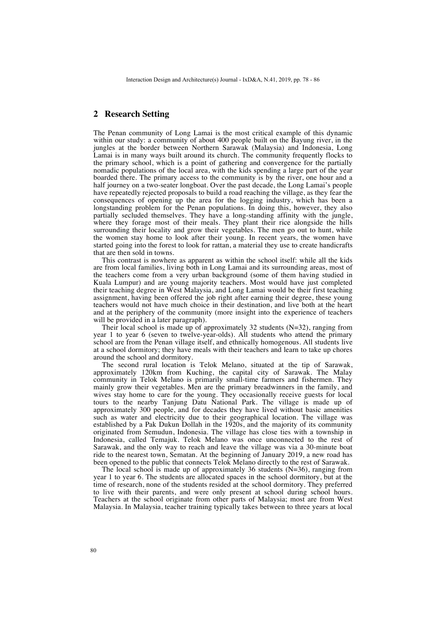### **2 Research Setting**

The Penan community of Long Lamai is the most critical example of this dynamic within our study: a community of about 400 people built on the Bayung river, in the jungles at the border between Northern Sarawak (Malaysia) and Indonesia, Long Lamai is in many ways built around its church. The community frequently flocks to the primary school, which is a point of gathering and convergence for the partially nomadic populations of the local area, with the kids spending a large part of the year boarded there. The primary access to the community is by the river, one hour and a half journey on a two-seater longboat. Over the past decade, the Long Lamai's people have repeatedly rejected proposals to build a road reaching the village, as they fear the consequences of opening up the area for the logging industry, which has been a longstanding problem for the Penan populations. In doing this, however, they also partially secluded themselves. They have a long-standing affinity with the jungle, where they forage most of their meals. They plant their rice alongside the hills surrounding their locality and grow their vegetables. The men go out to hunt, while the women stay home to look after their young. In recent years, the women have started going into the forest to look for rattan, a material they use to create handicrafts that are then sold in towns.

This contrast is nowhere as apparent as within the school itself: while all the kids are from local families, living both in Long Lamai and its surrounding areas, most of the teachers come from a very urban background (some of them having studied in Kuala Lumpur) and are young majority teachers. Most would have just completed their teaching degree in West Malaysia, and Long Lamai would be their first teaching assignment, having been offered the job right after earning their degree, these young teachers would not have much choice in their destination, and live both at the heart and at the periphery of the community (more insight into the experience of teachers will be provided in a later paragraph).

Their local school is made up of approximately 32 students  $(N=32)$ , ranging from year 1 to year 6 (seven to twelve-year-olds). All students who attend the primary school are from the Penan village itself, and ethnically homogenous. All students live at a school dormitory; they have meals with their teachers and learn to take up chores around the school and dormitory.

The second rural location is Telok Melano, situated at the tip of Sarawak, approximately 120km from Kuching, the capital city of Sarawak. The Malay community in Telok Melano is primarily small-time farmers and fishermen. They mainly grow their vegetables. Men are the primary breadwinners in the family, and wives stay home to care for the young. They occasionally receive guests for local tours to the nearby Tanjung Datu National Park. The village is made up of approximately 300 people, and for decades they have lived without basic amenities such as water and electricity due to their geographical location. The village was established by a Pak Dukun Dollah in the 1920s, and the majority of its community originated from Semudun, Indonesia. The village has close ties with a township in Indonesia, called Temajuk. Telok Melano was once unconnected to the rest of Sarawak, and the only way to reach and leave the village was via a 30-minute boat ride to the nearest town, Sematan. At the beginning of January 2019, a new road has been opened to the public that connects Telok Melano directly to the rest of Sarawak.

The local school is made up of approximately 36 students  $(N=36)$ , ranging from year 1 to year 6. The students are allocated spaces in the school dormitory, but at the time of research, none of the students resided at the school dormitory. They preferred to live with their parents, and were only present at school during school hours. Teachers at the school originate from other parts of Malaysia; most are from West Malaysia. In Malaysia, teacher training typically takes between to three years at local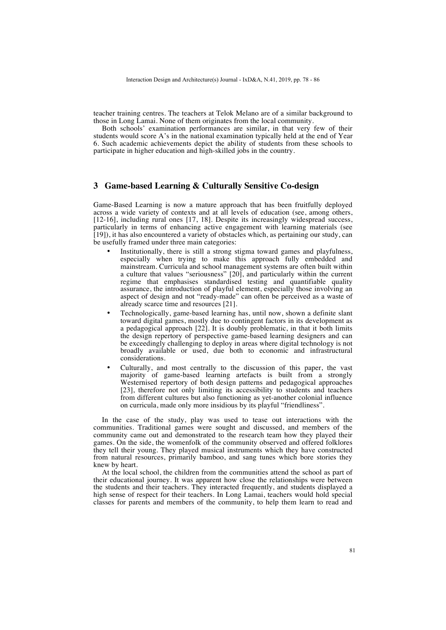teacher training centres. The teachers at Telok Melano are of a similar background to those in Long Lamai. None of them originates from the local community.

Both schools' examination performances are similar, in that very few of their students would score A's in the national examination typically held at the end of Year 6. Such academic achievements depict the ability of students from these schools to participate in higher education and high-skilled jobs in the country.

#### **3 Game-based Learning & Culturally Sensitive Co-design**

Game-Based Learning is now a mature approach that has been fruitfully deployed across a wide variety of contexts and at all levels of education (see, among others, [12-16], including rural ones [17, 18]. Despite its increasingly widespread success, particularly in terms of enhancing active engagement with learning materials (see [19]), it has also encountered a variety of obstacles which, as pertaining our study, can be usefully framed under three main categories:

- Institutionally, there is still a strong stigma toward games and playfulness, especially when trying to make this approach fully embedded and mainstream. Curricula and school management systems are often built within a culture that values "seriousness" [20], and particularly within the current regime that emphasises standardised testing and quantifiable quality assurance, the introduction of playful element, especially those involving an aspect of design and not "ready-made" can often be perceived as a waste of already scarce time and resources [21].
- Technologically, game-based learning has, until now, shown a definite slant toward digital games, mostly due to contingent factors in its development as a pedagogical approach [22]. It is doubly problematic, in that it both limits the design repertory of perspective game-based learning designers and can be exceedingly challenging to deploy in areas where digital technology is not broadly available or used, due both to economic and infrastructural considerations.
- Culturally, and most centrally to the discussion of this paper, the vast majority of game-based learning artefacts is built from a strongly Westernised repertory of both design patterns and pedagogical approaches [23], therefore not only limiting its accessibility to students and teachers from different cultures but also functioning as yet-another colonial influence on curricula, made only more insidious by its playful "friendliness".

In the case of the study, play was used to tease out interactions with the communities. Traditional games were sought and discussed, and members of the community came out and demonstrated to the research team how they played their games. On the side, the womenfolk of the community observed and offered folklores they tell their young. They played musical instruments which they have constructed from natural resources, primarily bamboo, and sang tunes which bore stories they knew by heart.

At the local school, the children from the communities attend the school as part of their educational journey. It was apparent how close the relationships were between the students and their teachers. They interacted frequently, and students displayed a high sense of respect for their teachers. In Long Lamai, teachers would hold special classes for parents and members of the community, to help them learn to read and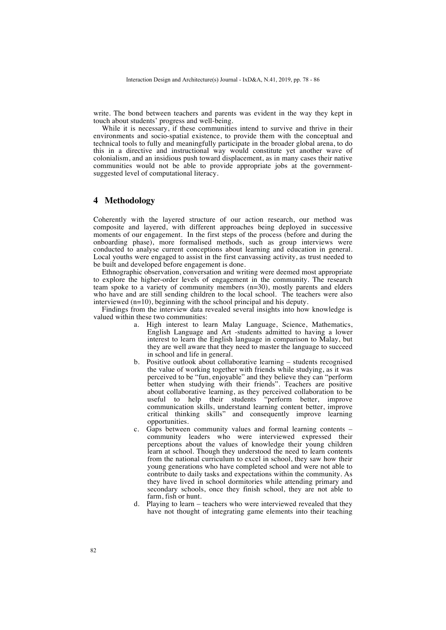write. The bond between teachers and parents was evident in the way they kept in touch about students' progress and well-being.

While it is necessary, if these communities intend to survive and thrive in their environments and socio-spatial existence, to provide them with the conceptual and technical tools to fully and meaningfully participate in the broader global arena, to do this in a directive and instructional way would constitute yet another wave of colonialism, and an insidious push toward displacement, as in many cases their native communities would not be able to provide appropriate jobs at the governmentsuggested level of computational literacy.

#### **4 Methodology**

Coherently with the layered structure of our action research, our method was composite and layered, with different approaches being deployed in successive moments of our engagement. In the first steps of the process (before and during the onboarding phase), more formalised methods, such as group interviews were conducted to analyse current conceptions about learning and education in general. Local youths were engaged to assist in the first canvassing activity, as trust needed to be built and developed before engagement is done.

Ethnographic observation, conversation and writing were deemed most appropriate to explore the higher-order levels of engagement in the community. The research team spoke to a variety of community members (n=30), mostly parents and elders who have and are still sending children to the local school. The teachers were also interviewed (n=10), beginning with the school principal and his deputy.

Findings from the interview data revealed several insights into how knowledge is valued within these two communities:

- a. High interest to learn Malay Language, Science, Mathematics, English Language and Art -students admitted to having a lower interest to learn the English language in comparison to Malay, but they are well aware that they need to master the language to succeed in school and life in general.
- b. Positive outlook about collaborative learning students recognised the value of working together with friends while studying, as it was perceived to be "fun, enjoyable" and they believe they can "perform better when studying with their friends". Teachers are positive about collaborative learning, as they perceived collaboration to be useful to help their students "perform better, improve communication skills, understand learning content better, improve critical thinking skills" and consequently improve learning opportunities.
- c. Gaps between community values and formal learning contents community leaders who were interviewed expressed their perceptions about the values of knowledge their young children learn at school. Though they understood the need to learn contents from the national curriculum to excel in school, they saw how their young generations who have completed school and were not able to contribute to daily tasks and expectations within the community. As they have lived in school dormitories while attending primary and secondary schools, once they finish school, they are not able to farm, fish or hunt.
- d. Playing to learn teachers who were interviewed revealed that they have not thought of integrating game elements into their teaching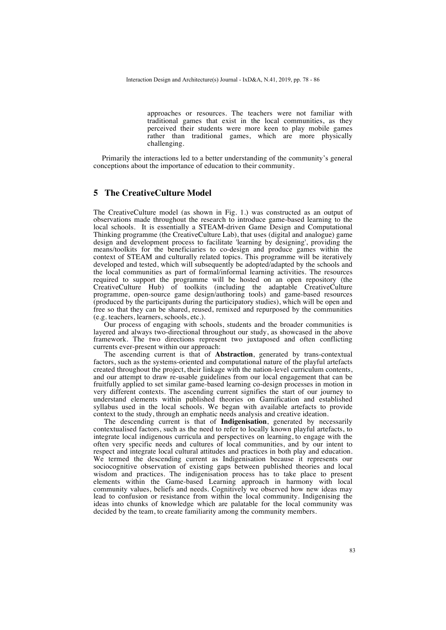approaches or resources. The teachers were not familiar with traditional games that exist in the local communities, as they perceived their students were more keen to play mobile games rather than traditional games, which are more physically challenging.

Primarily the interactions led to a better understanding of the community's general conceptions about the importance of education to their community.

#### **5 The CreativeCulture Model**

The CreativeCulture model (as shown in Fig. 1.) was constructed as an output of observations made throughout the research to introduce game-based learning to the local schools. It is essentially a STEAM-driven Game Design and Computational Thinking programme (the CreativeCulture Lab), that uses (digital and analogue) game design and development process to facilitate 'learning by designing', providing the means/toolkits for the beneficiaries to co-design and produce games within the context of STEAM and culturally related topics. This programme will be iteratively developed and tested, which will subsequently be adopted/adapted by the schools and the local communities as part of formal/informal learning activities. The resources required to support the programme will be hosted on an open repository (the CreativeCulture Hub) of toolkits (including the adaptable CreativeCulture programme, open-source game design/authoring tools) and game-based resources (produced by the participants during the participatory studies), which will be open and free so that they can be shared, reused, remixed and repurposed by the communities (e.g. teachers, learners, schools, etc.).

Our process of engaging with schools, students and the broader communities is layered and always two-directional throughout our study, as showcased in the above framework. The two directions represent two juxtaposed and often conflicting currents ever-present within our approach:

The ascending current is that of **Abstraction**, generated by trans-contextual factors, such as the systems-oriented and computational nature of the playful artefacts created throughout the project, their linkage with the nation-level curriculum contents, and our attempt to draw re-usable guidelines from our local engagement that can be fruitfully applied to set similar game-based learning co-design processes in motion in very different contexts. The ascending current signifies the start of our journey to understand elements within published theories on Gamification and established syllabus used in the local schools. We began with available artefacts to provide context to the study, through an emphatic needs analysis and creative ideation.

The descending current is that of **Indigenisation**, generated by necessarily contextualised factors, such as the need to refer to locally known playful artefacts, to integrate local indigenous curricula and perspectives on learning, to engage with the often very specific needs and cultures of local communities, and by our intent to respect and integrate local cultural attitudes and practices in both play and education. We termed the descending current as Indigenisation because it represents our sociocognitive observation of existing gaps between published theories and local wisdom and practices. The indigenisation process has to take place to present elements within the Game-based Learning approach in harmony with local community values, beliefs and needs. Cognitively we observed how new ideas may lead to confusion or resistance from within the local community. Indigenising the ideas into chunks of knowledge which are palatable for the local community was decided by the team, to create familiarity among the community members.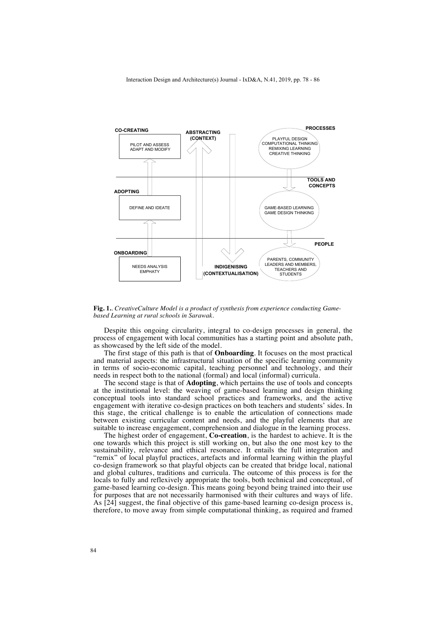

**Fig. 1.**. *CreativeCulture Model is a product of synthesis from experience conducting Gamebased Learning at rural schools in Sarawak*.

Despite this ongoing circularity, integral to co-design processes in general, the process of engagement with local communities has a starting point and absolute path, as showcased by the left side of the model.

The first stage of this path is that of **Onboarding**. It focuses on the most practical and material aspects: the infrastructural situation of the specific learning community in terms of socio-economic capital, teaching personnel and technology, and their needs in respect both to the national (formal) and local (informal) curricula.

The second stage is that of **Adopting**, which pertains the use of tools and concepts at the institutional level: the weaving of game-based learning and design thinking conceptual tools into standard school practices and frameworks, and the active engagement with iterative co-design practices on both teachers and students' sides. In this stage, the critical challenge is to enable the articulation of connections made between existing curricular content and needs, and the playful elements that are suitable to increase engagement, comprehension and dialogue in the learning process.

The highest order of engagement, **Co-creation**, is the hardest to achieve. It is the one towards which this project is still working on, but also the one most key to the sustainability, relevance and ethical resonance. It entails the full integration and "remix" of local playful practices, artefacts and informal learning within the playful co-design framework so that playful objects can be created that bridge local, national and global cultures, traditions and curricula. The outcome of this process is for the locals to fully and reflexively appropriate the tools, both technical and conceptual, of game-based learning co-design. This means going beyond being trained into their use for purposes that are not necessarily harmonised with their cultures and ways of life. As [24] suggest, the final objective of this game-based learning co-design process is, therefore, to move away from simple computational thinking, as required and framed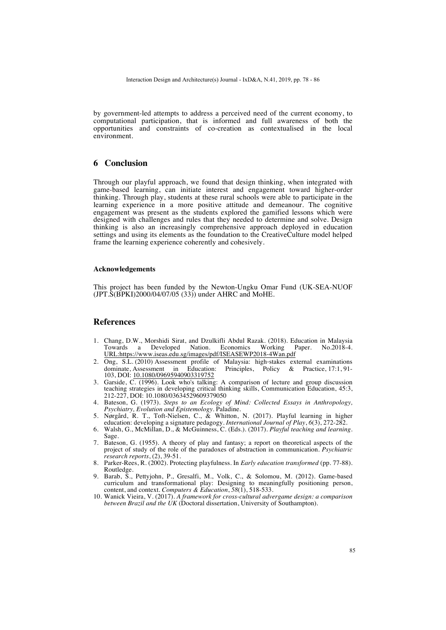by government-led attempts to address a perceived need of the current economy, to computational participation, that is informed and full awareness of both the opportunities and constraints of co-creation as contextualised in the local environment.

#### **6 Conclusion**

Through our playful approach, we found that design thinking, when integrated with game-based learning, can initiate interest and engagement toward higher-order thinking. Through play, students at these rural schools were able to participate in the learning experience in a more positive attitude and demeanour. The cognitive engagement was present as the students explored the gamified lessons which were designed with challenges and rules that they needed to determine and solve. Design thinking is also an increasingly comprehensive approach deployed in education settings and using its elements as the foundation to the CreativeCulture model helped frame the learning experience coherently and cohesively.

#### **Acknowledgements**

This project has been funded by the Newton-Ungku Omar Fund (UK-SEA-NUOF (JPT.S(BPKI)2000/04/07/05 (33)) under AHRC and MoHE.

#### **References**

- 1. Chang, D.W., Morshidi Sirat, and Dzulkifli Abdul Razak. (2018). Education in Malaysia Towards a Developed URL:https://www.iseas.edu.sg/images/pdf/ISEASEWP2018-4Wan.pdf
- 2. Ong, S.L. (2010) Assessment profile of Malaysia: high-stakes external examinations dominate Assessment in Education: Principles. Policy & Practice 17:1.91-Principles, Policy & Practice,  $17:1, 91$ -103, DOI: 10.1080/09695940903319752
- 3. Garside, C. (1996). Look who's talking: A comparison of lecture and group discussion teaching strategies in developing critical thinking skills, Communication Education, 45:3, 212-227, DOI: 10.1080/03634529609379050
- 4. Bateson, G. (1973). *Steps to an Ecology of Mind: Collected Essays in Anthropology, Psychiatry, Evolution and Epistemology*. Paladine.
- 5. Nørgård, R. T., Toft-Nielsen, C., & Whitton, N. (2017). Playful learning in higher education: developing a signature pedagogy. *International Journal of Play*, *6*(3), 272-282.
- 6. Walsh, G., McMillan, D., & McGuinness, C. (Eds.). (2017). *Playful teaching and learning*. Sage.
- 7. Bateson, G. (1955). A theory of play and fantasy; a report on theoretical aspects of the project of study of the role of the paradoxes of abstraction in communication. *Psychiatric research reports*, (2), 39-51.
- 8. Parker-Rees, R. (2002). Protecting playfulness. In *Early education transformed* (pp. 77-88). Routledge.
- 9. Barab, S., Pettyjohn, P., Gresalfi, M., Volk, C., & Solomou, M. (2012). Game-based curriculum and transformational play: Designing to meaningfully positioning person, content, and context. *Computers & Education*, *58*(1), 518-533.
- 10. Wanick Vieira, V. (2017). *A framework for cross-cultural advergame design: a comparison between Brazil and the UK* (Doctoral dissertation, University of Southampton).